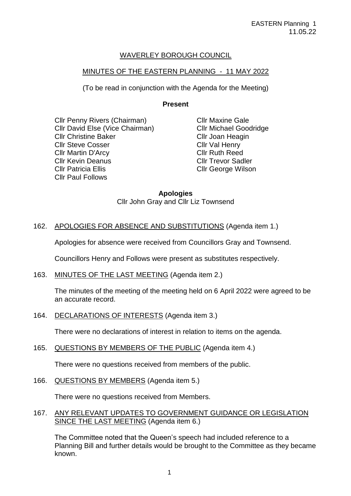# WAVERLEY BOROUGH COUNCIL

## MINUTES OF THE EASTERN PLANNING - 11 MAY 2022

(To be read in conjunction with the Agenda for the Meeting)

# **Present**

Cllr Penny Rivers (Chairman) Cllr David Else (Vice Chairman) Cllr Christine Baker Cllr Steve Cosser Cllr Martin D'Arcy Cllr Kevin Deanus Cllr Patricia Ellis Cllr Paul Follows

Cllr Maxine Gale Cllr Michael Goodridge Cllr Joan Heagin Cllr Val Henry Cllr Ruth Reed Cllr Trevor Sadler Cllr George Wilson

# **Apologies**

Cllr John Gray and Cllr Liz Townsend

# 162. APOLOGIES FOR ABSENCE AND SUBSTITUTIONS (Agenda item 1.)

Apologies for absence were received from Councillors Gray and Townsend.

Councillors Henry and Follows were present as substitutes respectively.

163. MINUTES OF THE LAST MEETING (Agenda item 2.)

The minutes of the meeting of the meeting held on 6 April 2022 were agreed to be an accurate record.

164. DECLARATIONS OF INTERESTS (Agenda item 3.)

There were no declarations of interest in relation to items on the agenda.

165. QUESTIONS BY MEMBERS OF THE PUBLIC (Agenda item 4.)

There were no questions received from members of the public.

166. QUESTIONS BY MEMBERS (Agenda item 5.)

There were no questions received from Members.

167. ANY RELEVANT UPDATES TO GOVERNMENT GUIDANCE OR LEGISLATION SINCE THE LAST MEETING (Agenda item 6.)

The Committee noted that the Queen's speech had included reference to a Planning Bill and further details would be brought to the Committee as they became known.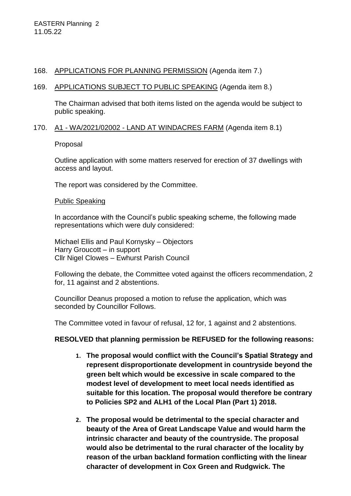## 168. APPLICATIONS FOR PLANNING PERMISSION (Agenda item 7.)

## 169. APPLICATIONS SUBJECT TO PUBLIC SPEAKING (Agenda item 8.)

The Chairman advised that both items listed on the agenda would be subject to public speaking.

## 170. A1 - WA/2021/02002 - LAND AT WINDACRES FARM (Agenda item 8.1)

Proposal

Outline application with some matters reserved for erection of 37 dwellings with access and layout.

The report was considered by the Committee.

### Public Speaking

In accordance with the Council's public speaking scheme, the following made representations which were duly considered:

Michael Ellis and Paul Kornysky – Objectors Harry Groucott – in support Cllr Nigel Clowes – Ewhurst Parish Council

Following the debate, the Committee voted against the officers recommendation, 2 for, 11 against and 2 abstentions.

Councillor Deanus proposed a motion to refuse the application, which was seconded by Councillor Follows.

The Committee voted in favour of refusal, 12 for, 1 against and 2 abstentions.

## **RESOLVED that planning permission be REFUSED for the following reasons:**

- **1. The proposal would conflict with the Council's Spatial Strategy and represent disproportionate development in countryside beyond the green belt which would be excessive in scale compared to the modest level of development to meet local needs identified as suitable for this location. The proposal would therefore be contrary to Policies SP2 and ALH1 of the Local Plan (Part 1) 2018.**
- **2. The proposal would be detrimental to the special character and beauty of the Area of Great Landscape Value and would harm the intrinsic character and beauty of the countryside. The proposal would also be detrimental to the rural character of the locality by reason of the urban backland formation conflicting with the linear character of development in Cox Green and Rudgwick. The**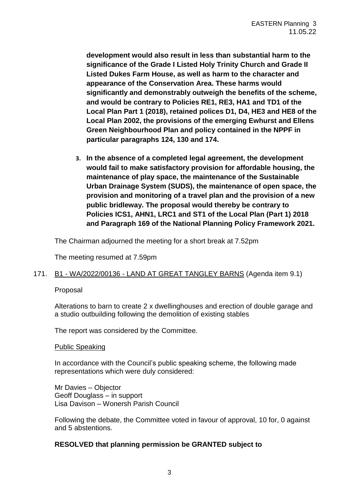**development would also result in less than substantial harm to the significance of the Grade I Listed Holy Trinity Church and Grade II Listed Dukes Farm House, as well as harm to the character and appearance of the Conservation Area. These harms would significantly and demonstrably outweigh the benefits of the scheme, and would be contrary to Policies RE1, RE3, HA1 and TD1 of the Local Plan Part 1 (2018), retained polices D1, D4, HE3 and HE8 of the Local Plan 2002, the provisions of the emerging Ewhurst and Ellens Green Neighbourhood Plan and policy contained in the NPPF in particular paragraphs 124, 130 and 174.** 

**3. In the absence of a completed legal agreement, the development would fail to make satisfactory provision for affordable housing, the maintenance of play space, the maintenance of the Sustainable Urban Drainage System (SUDS), the maintenance of open space, the provision and monitoring of a travel plan and the provision of a new public bridleway. The proposal would thereby be contrary to Policies ICS1, AHN1, LRC1 and ST1 of the Local Plan (Part 1) 2018 and Paragraph 169 of the National Planning Policy Framework 2021.**

The Chairman adjourned the meeting for a short break at 7.52pm

The meeting resumed at 7.59pm

## 171. B1 - WA/2022/00136 - LAND AT GREAT TANGLEY BARNS (Agenda item 9.1)

### Proposal

Alterations to barn to create 2 x dwellinghouses and erection of double garage and a studio outbuilding following the demolition of existing stables

The report was considered by the Committee.

### Public Speaking

In accordance with the Council's public speaking scheme, the following made representations which were duly considered:

Mr Davies – Objector Geoff Douglass – in support Lisa Davison – Wonersh Parish Council

Following the debate, the Committee voted in favour of approval, 10 for, 0 against and 5 abstentions.

### **RESOLVED that planning permission be GRANTED subject to**